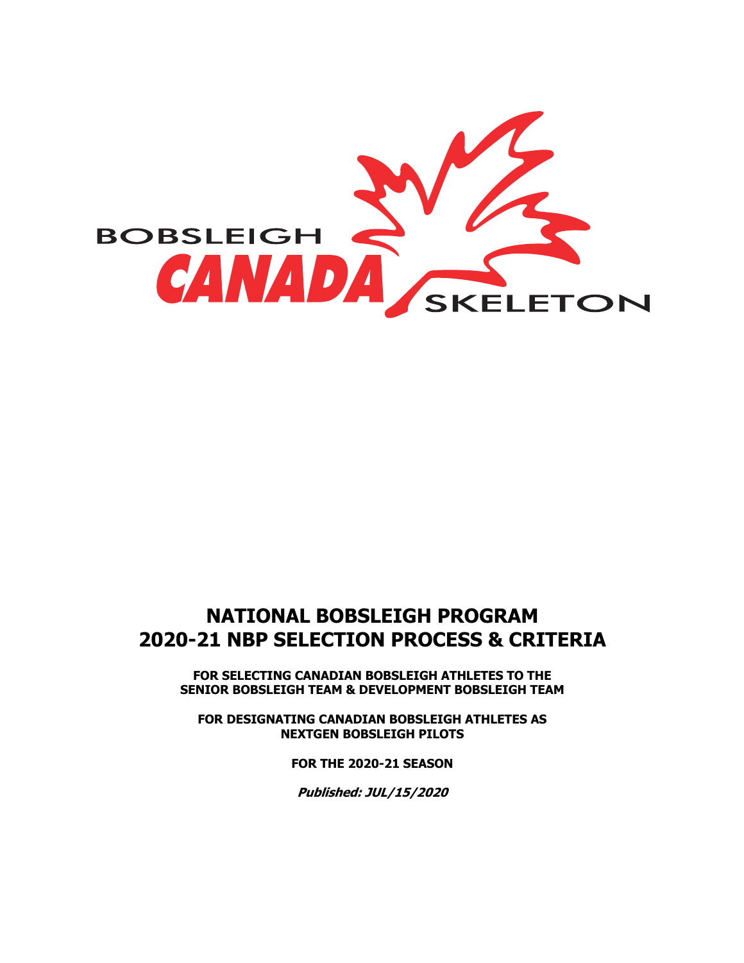

# **NATIONAL BOBSLEIGH PROGRAM 2020-21 NBP SELECTION PROCESS & CRITERIA**

**FOR SELECTING CANADIAN BOBSLEIGH ATHLETES TO THE SENIOR BOBSLEIGH TEAM & DEVELOPMENT BOBSLEIGH TEAM**

**FOR DESIGNATING CANADIAN BOBSLEIGH ATHLETES AS NEXTGEN BOBSLEIGH PILOTS**

**FOR THE 2020-21 SEASON**

**Published: JUL/15/2020**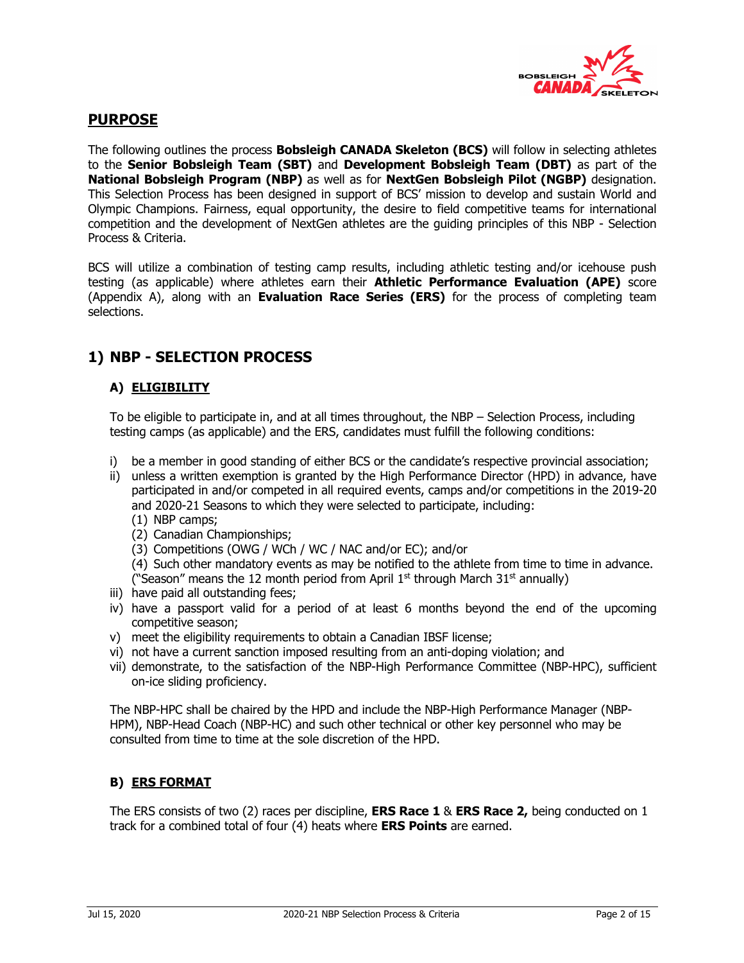

## **PURPOSE**

The following outlines the process **Bobsleigh CANADA Skeleton (BCS)** will follow in selecting athletes to the **Senior Bobsleigh Team (SBT)** and **Development Bobsleigh Team (DBT)** as part of the **National Bobsleigh Program (NBP)** as well as for **NextGen Bobsleigh Pilot (NGBP)** designation. This Selection Process has been designed in support of BCS' mission to develop and sustain World and Olympic Champions. Fairness, equal opportunity, the desire to field competitive teams for international competition and the development of NextGen athletes are the guiding principles of this NBP - Selection Process & Criteria.

BCS will utilize a combination of testing camp results, including athletic testing and/or icehouse push testing (as applicable) where athletes earn their **Athletic Performance Evaluation (APE)** score (Appendix A), along with an **Evaluation Race Series (ERS)** for the process of completing team selections.

## **1) NBP - SELECTION PROCESS**

## **A) ELIGIBILITY**

To be eligible to participate in, and at all times throughout, the NBP – Selection Process, including testing camps (as applicable) and the ERS, candidates must fulfill the following conditions:

- i) be a member in good standing of either BCS or the candidate's respective provincial association;
- ii) unless a written exemption is granted by the High Performance Director (HPD) in advance, have participated in and/or competed in all required events, camps and/or competitions in the 2019-20 and 2020-21 Seasons to which they were selected to participate, including:
	- (1) NBP camps;
	- (2) Canadian Championships;
	- (3) Competitions (OWG / WCh / WC / NAC and/or EC); and/or

(4) Such other mandatory events as may be notified to the athlete from time to time in advance. ("Season" means the 12 month period from April  $1<sup>st</sup>$  through March  $31<sup>st</sup>$  annually)

- iii) have paid all outstanding fees;
- iv) have a passport valid for a period of at least 6 months beyond the end of the upcoming competitive season;
- v) meet the eligibility requirements to obtain a Canadian IBSF license;
- vi) not have a current sanction imposed resulting from an anti-doping violation; and
- vii) demonstrate, to the satisfaction of the NBP-High Performance Committee (NBP-HPC), sufficient on-ice sliding proficiency.

The NBP-HPC shall be chaired by the HPD and include the NBP-High Performance Manager (NBP-HPM), NBP-Head Coach (NBP-HC) and such other technical or other key personnel who may be consulted from time to time at the sole discretion of the HPD.

## **B) ERS FORMAT**

The ERS consists of two (2) races per discipline, **ERS Race 1** & **ERS Race 2,** being conducted on 1 track for a combined total of four (4) heats where **ERS Points** are earned.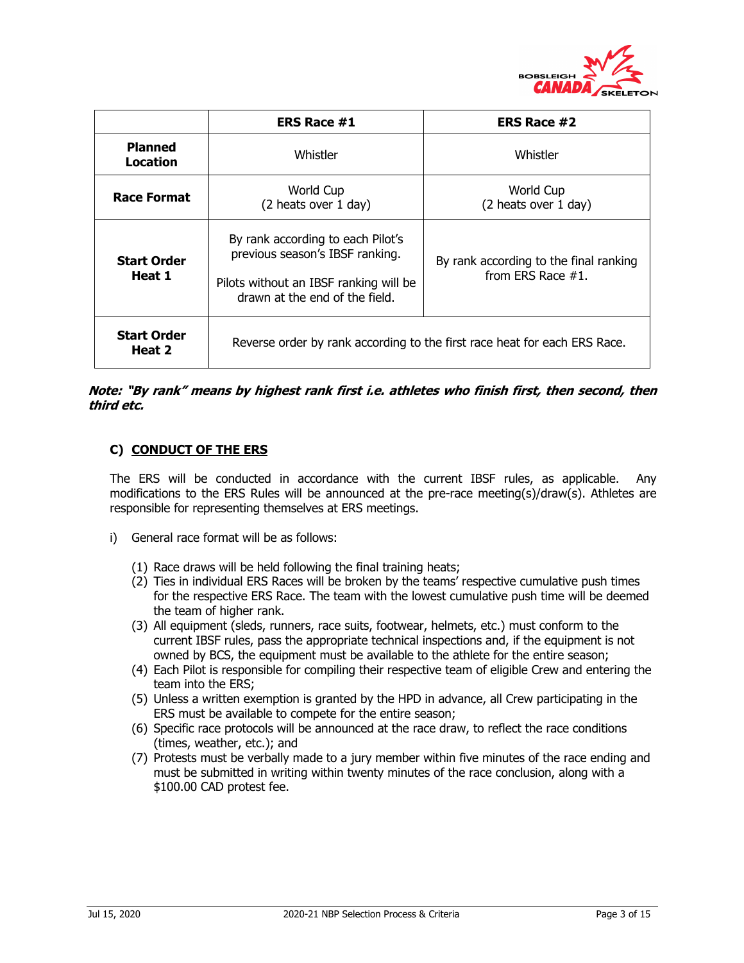

|                              | <b>ERS Race #1</b>                                                                                                                               | ERS Race #2                                                    |  |  |  |  |  |
|------------------------------|--------------------------------------------------------------------------------------------------------------------------------------------------|----------------------------------------------------------------|--|--|--|--|--|
| <b>Planned</b><br>Location   | Whistler                                                                                                                                         | Whistler                                                       |  |  |  |  |  |
| <b>Race Format</b>           | World Cup<br>(2 heats over 1 day)                                                                                                                | World Cup<br>(2 heats over 1 day)                              |  |  |  |  |  |
| <b>Start Order</b><br>Heat 1 | By rank according to each Pilot's<br>previous season's IBSF ranking.<br>Pilots without an IBSF ranking will be<br>drawn at the end of the field. | By rank according to the final ranking<br>from ERS Race $#1$ . |  |  |  |  |  |
| <b>Start Order</b><br>Heat 2 | Reverse order by rank according to the first race heat for each ERS Race.                                                                        |                                                                |  |  |  |  |  |

## **Note: "By rank" means by highest rank first i.e. athletes who finish first, then second, then third etc.**

## **C) CONDUCT OF THE ERS**

The ERS will be conducted in accordance with the current IBSF rules, as applicable. Any modifications to the ERS Rules will be announced at the pre-race meeting(s)/draw(s). Athletes are responsible for representing themselves at ERS meetings.

- i) General race format will be as follows:
	- (1) Race draws will be held following the final training heats;
	- (2) Ties in individual ERS Races will be broken by the teams' respective cumulative push times for the respective ERS Race. The team with the lowest cumulative push time will be deemed the team of higher rank.
	- (3) All equipment (sleds, runners, race suits, footwear, helmets, etc.) must conform to the current IBSF rules, pass the appropriate technical inspections and, if the equipment is not owned by BCS, the equipment must be available to the athlete for the entire season;
	- (4) Each Pilot is responsible for compiling their respective team of eligible Crew and entering the team into the ERS;
	- (5) Unless a written exemption is granted by the HPD in advance, all Crew participating in the ERS must be available to compete for the entire season;
	- (6) Specific race protocols will be announced at the race draw, to reflect the race conditions (times, weather, etc.); and
	- (7) Protests must be verbally made to a jury member within five minutes of the race ending and must be submitted in writing within twenty minutes of the race conclusion, along with a \$100.00 CAD protest fee.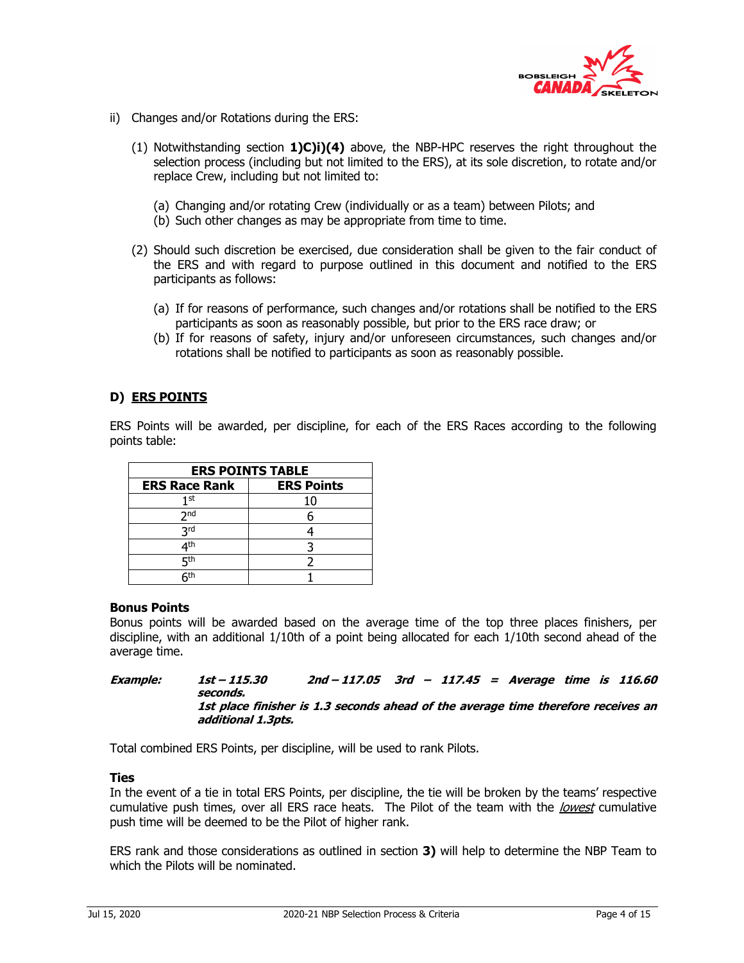

- ii) Changes and/or Rotations during the ERS:
	- (1) Notwithstanding section **1)C)i)(4)** above, the NBP-HPC reserves the right throughout the selection process (including but not limited to the ERS), at its sole discretion, to rotate and/or replace Crew, including but not limited to:
		- (a) Changing and/or rotating Crew (individually or as a team) between Pilots; and
		- (b) Such other changes as may be appropriate from time to time.
	- (2) Should such discretion be exercised, due consideration shall be given to the fair conduct of the ERS and with regard to purpose outlined in this document and notified to the ERS participants as follows:
		- (a) If for reasons of performance, such changes and/or rotations shall be notified to the ERS participants as soon as reasonably possible, but prior to the ERS race draw; or
		- (b) If for reasons of safety, injury and/or unforeseen circumstances, such changes and/or rotations shall be notified to participants as soon as reasonably possible.

## **D) ERS POINTS**

ERS Points will be awarded, per discipline, for each of the ERS Races according to the following points table:

| <b>ERS POINTS TABLE</b> |                   |  |  |  |  |  |  |  |
|-------------------------|-------------------|--|--|--|--|--|--|--|
| <b>ERS Race Rank</b>    | <b>ERS Points</b> |  |  |  |  |  |  |  |
| 1st                     | 10                |  |  |  |  |  |  |  |
| 2 <sub>nd</sub>         |                   |  |  |  |  |  |  |  |
| <b>Rrd</b>              |                   |  |  |  |  |  |  |  |
| ⊿th                     |                   |  |  |  |  |  |  |  |
| ςth                     |                   |  |  |  |  |  |  |  |
| ⊆th                     |                   |  |  |  |  |  |  |  |

#### **Bonus Points**

Bonus points will be awarded based on the average time of the top three places finishers, per discipline, with an additional 1/10th of a point being allocated for each 1/10th second ahead of the average time.

#### **Example: 1st – 115.30 2nd – 117.05 3rd – 117.45 = Average time is 116.60 seconds. 1st place finisher is 1.3 seconds ahead of the average time therefore receives an additional 1.3pts.**

Total combined ERS Points, per discipline, will be used to rank Pilots.

## **Ties**

In the event of a tie in total ERS Points, per discipline, the tie will be broken by the teams' respective cumulative push times, over all ERS race heats. The Pilot of the team with the *lowest* cumulative push time will be deemed to be the Pilot of higher rank.

ERS rank and those considerations as outlined in section **3)** will help to determine the NBP Team to which the Pilots will be nominated.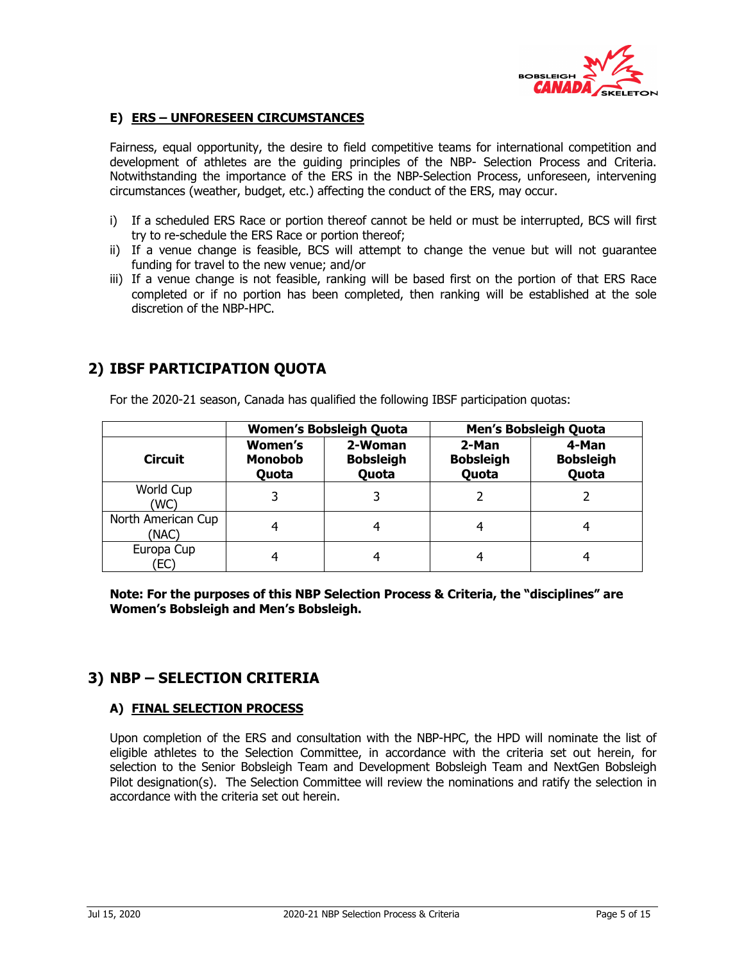

## **E) ERS – UNFORESEEN CIRCUMSTANCES**

Fairness, equal opportunity, the desire to field competitive teams for international competition and development of athletes are the guiding principles of the NBP- Selection Process and Criteria. Notwithstanding the importance of the ERS in the NBP-Selection Process, unforeseen, intervening circumstances (weather, budget, etc.) affecting the conduct of the ERS, may occur.

- i) If a scheduled ERS Race or portion thereof cannot be held or must be interrupted, BCS will first try to re-schedule the ERS Race or portion thereof;
- ii) If a venue change is feasible, BCS will attempt to change the venue but will not guarantee funding for travel to the new venue; and/or
- iii) If a venue change is not feasible, ranking will be based first on the portion of that ERS Race completed or if no portion has been completed, then ranking will be established at the sole discretion of the NBP-HPC.

## **2) IBSF PARTICIPATION QUOTA**

For the 2020-21 season, Canada has qualified the following IBSF participation quotas:

|                             |                                    | <b>Women's Bobsleigh Quota</b>       |                                    | Men's Bobsleigh Quota              |  |  |  |  |
|-----------------------------|------------------------------------|--------------------------------------|------------------------------------|------------------------------------|--|--|--|--|
| <b>Circuit</b>              | Women's<br><b>Monobob</b><br>Quota | 2-Woman<br><b>Bobsleigh</b><br>Quota | 2-Man<br><b>Bobsleigh</b><br>Quota | 4-Man<br><b>Bobsleigh</b><br>Quota |  |  |  |  |
| World Cup<br>(WC)           |                                    |                                      |                                    |                                    |  |  |  |  |
| North American Cup<br>(NAC) |                                    |                                      |                                    |                                    |  |  |  |  |
| Europa Cup<br>EC)           |                                    |                                      |                                    |                                    |  |  |  |  |

**Note: For the purposes of this NBP Selection Process & Criteria, the "disciplines" are Women's Bobsleigh and Men's Bobsleigh.** 

## **3) NBP – SELECTION CRITERIA**

## **A) FINAL SELECTION PROCESS**

Upon completion of the ERS and consultation with the NBP-HPC, the HPD will nominate the list of eligible athletes to the Selection Committee, in accordance with the criteria set out herein, for selection to the Senior Bobsleigh Team and Development Bobsleigh Team and NextGen Bobsleigh Pilot designation(s). The Selection Committee will review the nominations and ratify the selection in accordance with the criteria set out herein.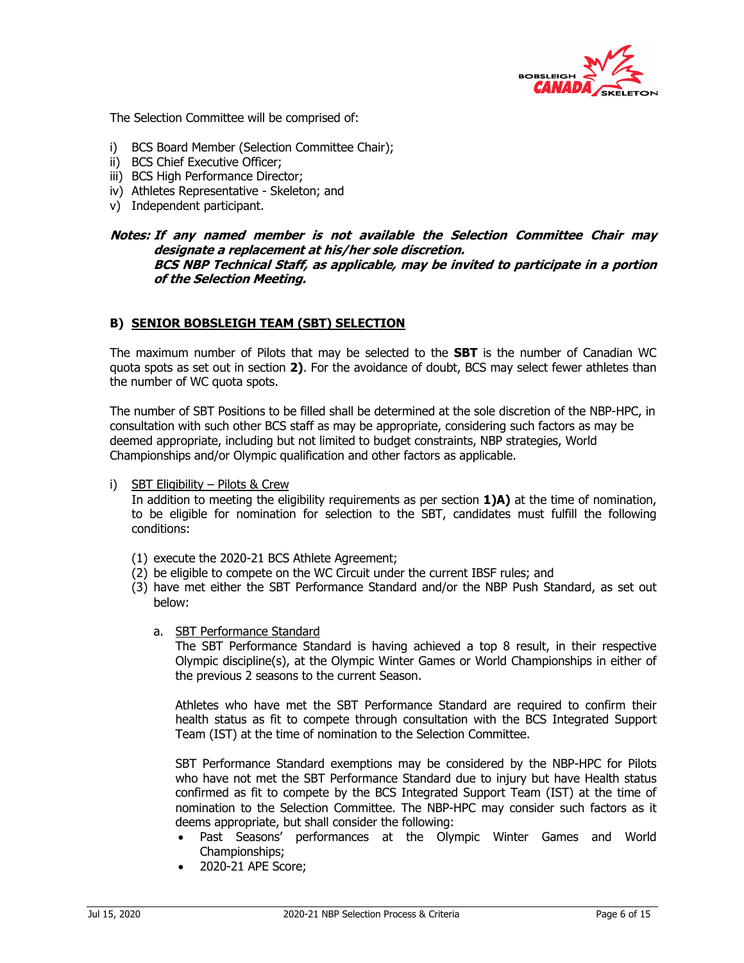

The Selection Committee will be comprised of:

- i) BCS Board Member (Selection Committee Chair);
- ii) BCS Chief Executive Officer;
- iii) BCS High Performance Director:
- iv) Athletes Representative Skeleton; and
- v) Independent participant.

#### **Notes: If any named member is not available the Selection Committee Chair may designate a replacement at his/her sole discretion. BCS NBP Technical Staff, as applicable, may be invited to participate in a portion of the Selection Meeting.**

#### **B) SENIOR BOBSLEIGH TEAM (SBT) SELECTION**

The maximum number of Pilots that may be selected to the **SBT** is the number of Canadian WC quota spots as set out in section **2)**. For the avoidance of doubt, BCS may select fewer athletes than the number of WC quota spots.

The number of SBT Positions to be filled shall be determined at the sole discretion of the NBP-HPC, in consultation with such other BCS staff as may be appropriate, considering such factors as may be deemed appropriate, including but not limited to budget constraints, NBP strategies, World Championships and/or Olympic qualification and other factors as applicable.

#### i) SBT Eligibility – Pilots & Crew

In addition to meeting the eligibility requirements as per section **1)A)** at the time of nomination, to be eligible for nomination for selection to the SBT, candidates must fulfill the following conditions:

- (1) execute the 2020-21 BCS Athlete Agreement;
- (2) be eligible to compete on the WC Circuit under the current IBSF rules; and
- (3) have met either the SBT Performance Standard and/or the NBP Push Standard, as set out below:
	- a. SBT Performance Standard

The SBT Performance Standard is having achieved a top 8 result, in their respective Olympic discipline(s), at the Olympic Winter Games or World Championships in either of the previous 2 seasons to the current Season.

Athletes who have met the SBT Performance Standard are required to confirm their health status as fit to compete through consultation with the BCS Integrated Support Team (IST) at the time of nomination to the Selection Committee.

SBT Performance Standard exemptions may be considered by the NBP-HPC for Pilots who have not met the SBT Performance Standard due to injury but have Health status confirmed as fit to compete by the BCS Integrated Support Team (IST) at the time of nomination to the Selection Committee. The NBP-HPC may consider such factors as it deems appropriate, but shall consider the following:

- Past Seasons' performances at the Olympic Winter Games and World Championships;
- 2020-21 APE Score;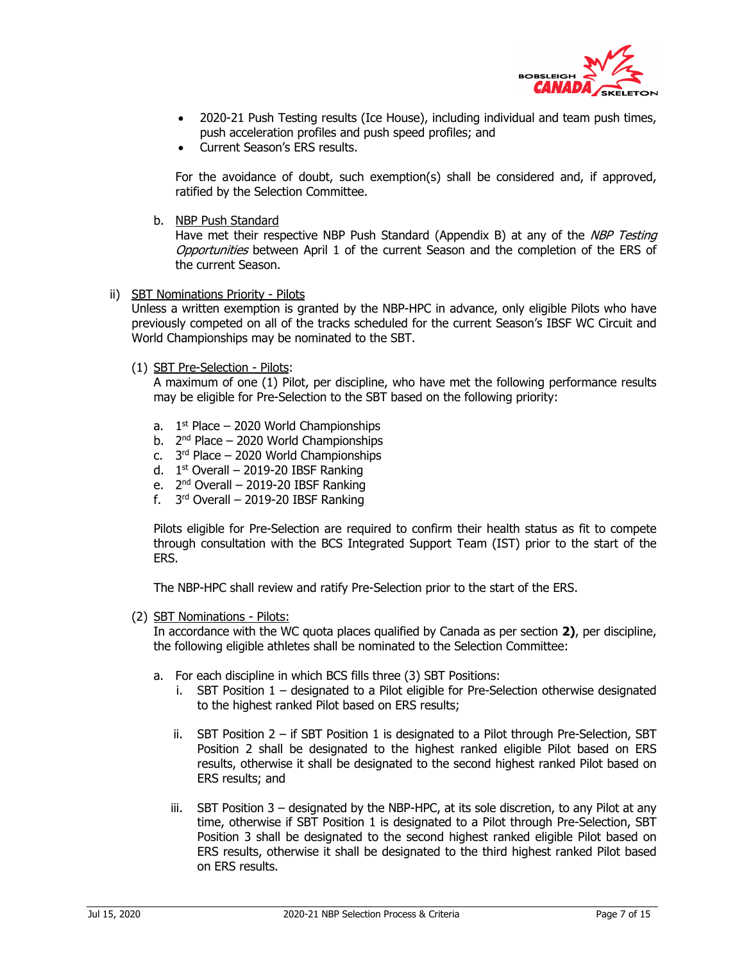

- 2020-21 Push Testing results (Ice House), including individual and team push times, push acceleration profiles and push speed profiles; and
- Current Season's ERS results.

For the avoidance of doubt, such exemption(s) shall be considered and, if approved, ratified by the Selection Committee.

b. NBP Push Standard

Have met their respective NBP Push Standard (Appendix B) at any of the NBP Testing Opportunities between April 1 of the current Season and the completion of the ERS of the current Season.

ii) SBT Nominations Priority - Pilots

Unless a written exemption is granted by the NBP-HPC in advance, only eligible Pilots who have previously competed on all of the tracks scheduled for the current Season's IBSF WC Circuit and World Championships may be nominated to the SBT.

(1) SBT Pre-Selection - Pilots:

A maximum of one (1) Pilot, per discipline, who have met the following performance results may be eligible for Pre-Selection to the SBT based on the following priority:

- a.  $1<sup>st</sup>$  Place 2020 World Championships
- b.  $2^{nd}$  Place 2020 World Championships
- c.  $3<sup>rd</sup>$  Place 2020 World Championships
- d.  $1<sup>st</sup>$  Overall 2019-20 IBSF Ranking
- e.  $2<sup>nd</sup>$  Overall 2019-20 IBSF Ranking
- f.  $3<sup>rd</sup>$  Overall 2019-20 IBSF Ranking

Pilots eligible for Pre-Selection are required to confirm their health status as fit to compete through consultation with the BCS Integrated Support Team (IST) prior to the start of the ERS.

The NBP-HPC shall review and ratify Pre-Selection prior to the start of the ERS.

(2) SBT Nominations - Pilots:

In accordance with the WC quota places qualified by Canada as per section **2)**, per discipline, the following eligible athletes shall be nominated to the Selection Committee:

- a. For each discipline in which BCS fills three (3) SBT Positions:
	- i. SBT Position 1 designated to a Pilot eligible for Pre-Selection otherwise designated to the highest ranked Pilot based on ERS results;
	- ii. SBT Position 2 if SBT Position 1 is designated to a Pilot through Pre-Selection, SBT Position 2 shall be designated to the highest ranked eligible Pilot based on ERS results, otherwise it shall be designated to the second highest ranked Pilot based on ERS results; and
	- iii. SBT Position  $3$  designated by the NBP-HPC, at its sole discretion, to any Pilot at any time, otherwise if SBT Position 1 is designated to a Pilot through Pre-Selection, SBT Position 3 shall be designated to the second highest ranked eligible Pilot based on ERS results, otherwise it shall be designated to the third highest ranked Pilot based on ERS results.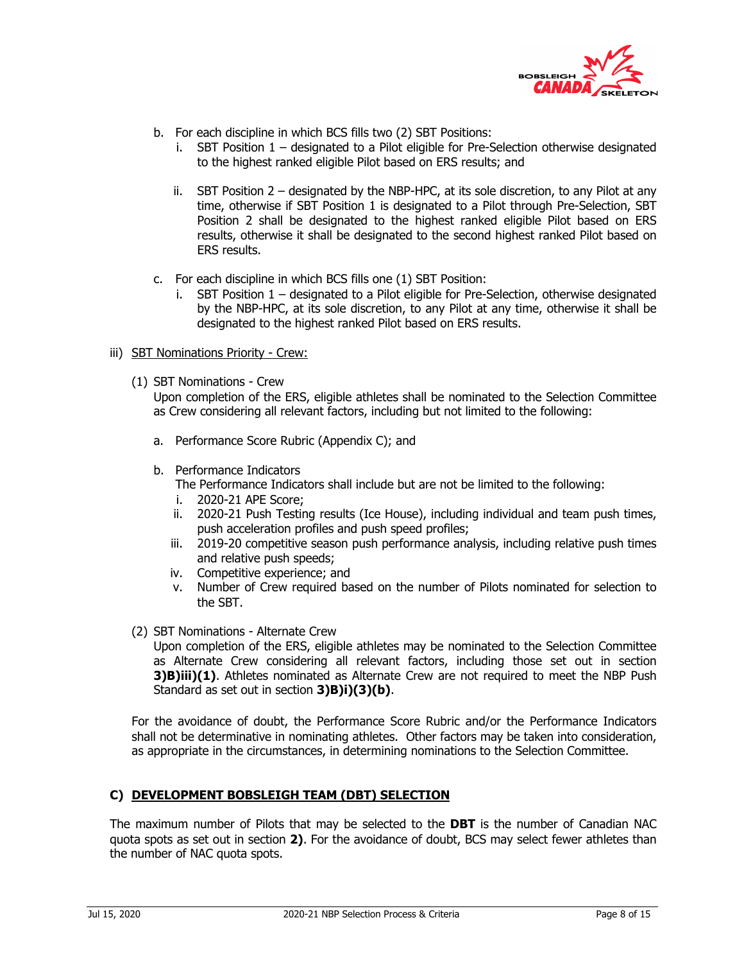

- b. For each discipline in which BCS fills two (2) SBT Positions:
	- i. SBT Position 1 designated to a Pilot eligible for Pre-Selection otherwise designated to the highest ranked eligible Pilot based on ERS results; and
	- ii. SBT Position 2 designated by the NBP-HPC, at its sole discretion, to any Pilot at any time, otherwise if SBT Position 1 is designated to a Pilot through Pre-Selection, SBT Position 2 shall be designated to the highest ranked eligible Pilot based on ERS results, otherwise it shall be designated to the second highest ranked Pilot based on ERS results.
- c. For each discipline in which BCS fills one (1) SBT Position:
	- i. SBT Position 1 designated to a Pilot eligible for Pre-Selection, otherwise designated by the NBP-HPC, at its sole discretion, to any Pilot at any time, otherwise it shall be designated to the highest ranked Pilot based on ERS results.
- iii) SBT Nominations Priority Crew:
	- (1) SBT Nominations Crew

Upon completion of the ERS, eligible athletes shall be nominated to the Selection Committee as Crew considering all relevant factors, including but not limited to the following:

- a. Performance Score Rubric (Appendix C); and
- b. Performance Indicators The Performance Indicators shall include but are not be limited to the following:
	- i. 2020-21 APE Score;
	- ii. 2020-21 Push Testing results (Ice House), including individual and team push times, push acceleration profiles and push speed profiles;
	- iii. 2019-20 competitive season push performance analysis, including relative push times and relative push speeds;
	- iv. Competitive experience; and
	- v. Number of Crew required based on the number of Pilots nominated for selection to the SBT.
- (2) SBT Nominations Alternate Crew

Upon completion of the ERS, eligible athletes may be nominated to the Selection Committee as Alternate Crew considering all relevant factors, including those set out in section **3)B)iii)(1)**. Athletes nominated as Alternate Crew are not required to meet the NBP Push Standard as set out in section **3)B)i)(3)(b)**.

For the avoidance of doubt, the Performance Score Rubric and/or the Performance Indicators shall not be determinative in nominating athletes. Other factors may be taken into consideration, as appropriate in the circumstances, in determining nominations to the Selection Committee.

## **C) DEVELOPMENT BOBSLEIGH TEAM (DBT) SELECTION**

The maximum number of Pilots that may be selected to the **DBT** is the number of Canadian NAC quota spots as set out in section **2)**. For the avoidance of doubt, BCS may select fewer athletes than the number of NAC quota spots.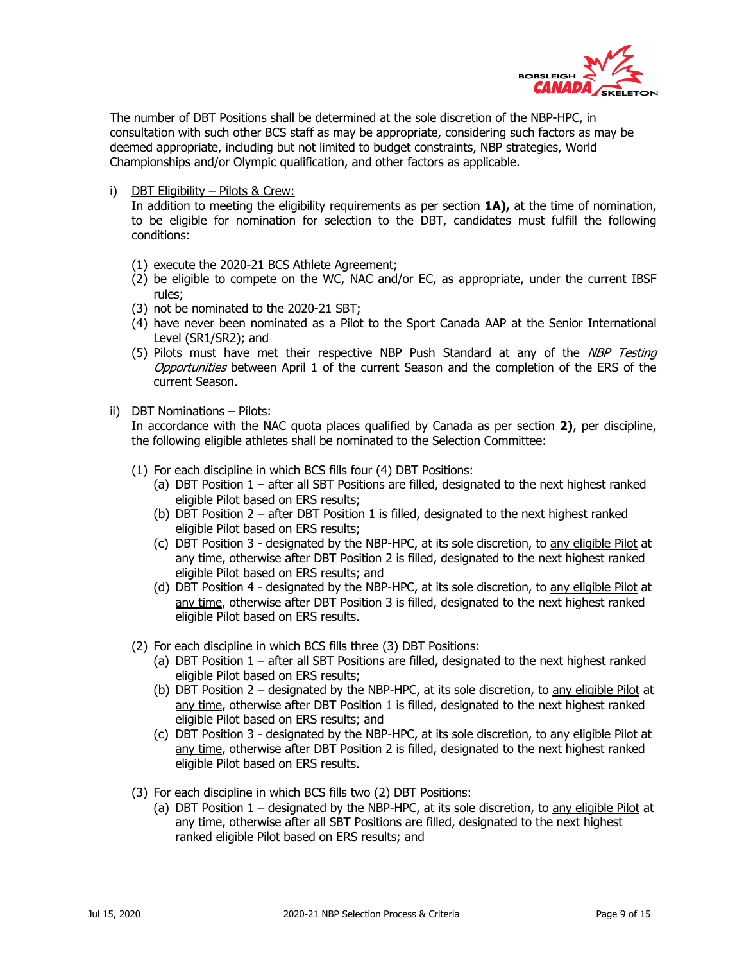

The number of DBT Positions shall be determined at the sole discretion of the NBP-HPC, in consultation with such other BCS staff as may be appropriate, considering such factors as may be deemed appropriate, including but not limited to budget constraints, NBP strategies, World Championships and/or Olympic qualification, and other factors as applicable.

i) DBT Eligibility – Pilots & Crew:

In addition to meeting the eligibility requirements as per section **1A),** at the time of nomination, to be eligible for nomination for selection to the DBT, candidates must fulfill the following conditions:

- (1) execute the 2020-21 BCS Athlete Agreement;
- (2) be eligible to compete on the WC, NAC and/or EC, as appropriate, under the current IBSF rules;
- (3) not be nominated to the 2020-21 SBT;
- (4) have never been nominated as a Pilot to the Sport Canada AAP at the Senior International Level (SR1/SR2); and
- (5) Pilots must have met their respective NBP Push Standard at any of the NBP Testing Opportunities between April 1 of the current Season and the completion of the ERS of the current Season.
- ii) DBT Nominations Pilots:

In accordance with the NAC quota places qualified by Canada as per section **2)**, per discipline, the following eligible athletes shall be nominated to the Selection Committee:

- (1) For each discipline in which BCS fills four (4) DBT Positions:
	- (a) DBT Position 1 after all SBT Positions are filled, designated to the next highest ranked eligible Pilot based on ERS results;
	- (b) DBT Position 2 after DBT Position 1 is filled, designated to the next highest ranked eligible Pilot based on ERS results;
	- (c) DBT Position 3 designated by the NBP-HPC, at its sole discretion, to any eligible Pilot at any time, otherwise after DBT Position 2 is filled, designated to the next highest ranked eligible Pilot based on ERS results; and
	- (d) DBT Position 4 designated by the NBP-HPC, at its sole discretion, to any eligible Pilot at any time, otherwise after DBT Position 3 is filled, designated to the next highest ranked eligible Pilot based on ERS results.
- (2) For each discipline in which BCS fills three (3) DBT Positions:
	- (a) DBT Position 1 after all SBT Positions are filled, designated to the next highest ranked eligible Pilot based on ERS results;
	- (b) DBT Position 2 designated by the NBP-HPC, at its sole discretion, to any eligible Pilot at any time, otherwise after DBT Position 1 is filled, designated to the next highest ranked eligible Pilot based on ERS results; and
	- (c) DBT Position 3 designated by the NBP-HPC, at its sole discretion, to any eligible Pilot at any time, otherwise after DBT Position 2 is filled, designated to the next highest ranked eligible Pilot based on ERS results.
- (3) For each discipline in which BCS fills two (2) DBT Positions:
	- (a) DBT Position  $1 -$  designated by the NBP-HPC, at its sole discretion, to any eligible Pilot at any time, otherwise after all SBT Positions are filled, designated to the next highest ranked eligible Pilot based on ERS results; and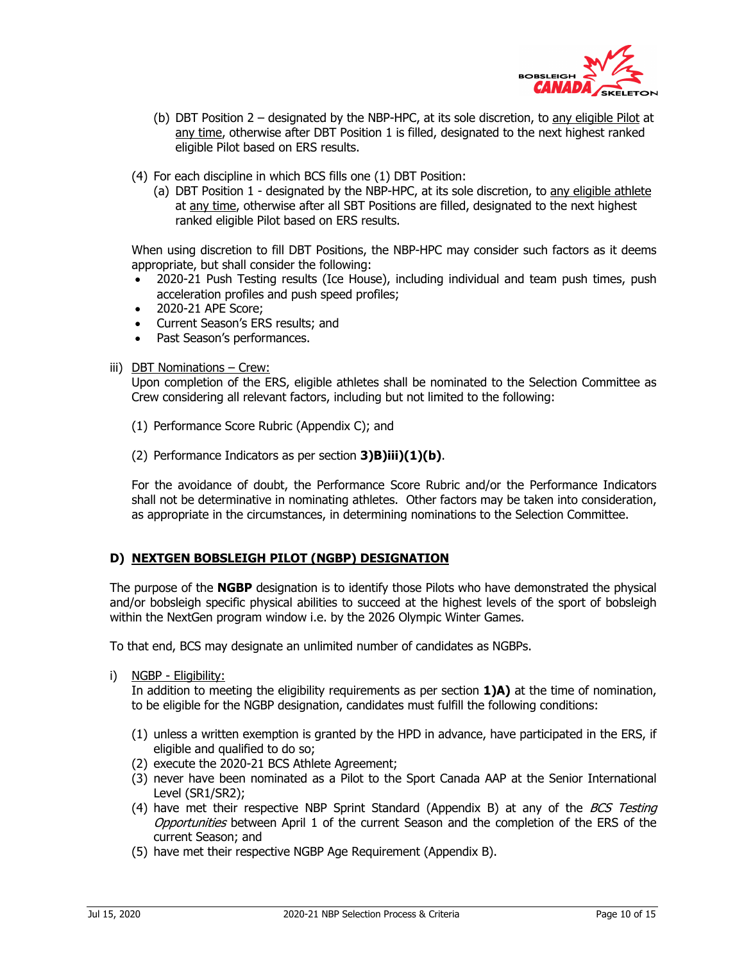

- (b) DBT Position 2 designated by the NBP-HPC, at its sole discretion, to any eligible Pilot at any time, otherwise after DBT Position 1 is filled, designated to the next highest ranked eligible Pilot based on ERS results.
- (4) For each discipline in which BCS fills one (1) DBT Position:
	- (a) DBT Position 1 designated by the NBP-HPC, at its sole discretion, to any eligible athlete at any time, otherwise after all SBT Positions are filled, designated to the next highest ranked eligible Pilot based on ERS results.

When using discretion to fill DBT Positions, the NBP-HPC may consider such factors as it deems appropriate, but shall consider the following:

- 2020-21 Push Testing results (Ice House), including individual and team push times, push acceleration profiles and push speed profiles;
- 2020-21 APE Score;
- Current Season's ERS results; and
- Past Season's performances.

#### iii) DBT Nominations - Crew:

Upon completion of the ERS, eligible athletes shall be nominated to the Selection Committee as Crew considering all relevant factors, including but not limited to the following:

- (1) Performance Score Rubric (Appendix C); and
- (2) Performance Indicators as per section **3)B)iii)(1)(b)**.

For the avoidance of doubt, the Performance Score Rubric and/or the Performance Indicators shall not be determinative in nominating athletes. Other factors may be taken into consideration, as appropriate in the circumstances, in determining nominations to the Selection Committee.

## **D) NEXTGEN BOBSLEIGH PILOT (NGBP) DESIGNATION**

The purpose of the **NGBP** designation is to identify those Pilots who have demonstrated the physical and/or bobsleigh specific physical abilities to succeed at the highest levels of the sport of bobsleigh within the NextGen program window i.e. by the 2026 Olympic Winter Games.

To that end, BCS may designate an unlimited number of candidates as NGBPs.

i) NGBP - Eligibility:

In addition to meeting the eligibility requirements as per section **1)A)** at the time of nomination, to be eligible for the NGBP designation, candidates must fulfill the following conditions:

- (1) unless a written exemption is granted by the HPD in advance, have participated in the ERS, if eligible and qualified to do so;
- (2) execute the 2020-21 BCS Athlete Agreement;
- (3) never have been nominated as a Pilot to the Sport Canada AAP at the Senior International Level (SR1/SR2);
- (4) have met their respective NBP Sprint Standard (Appendix B) at any of the *BCS Testing* Opportunities between April 1 of the current Season and the completion of the ERS of the current Season; and
- (5) have met their respective NGBP Age Requirement (Appendix B).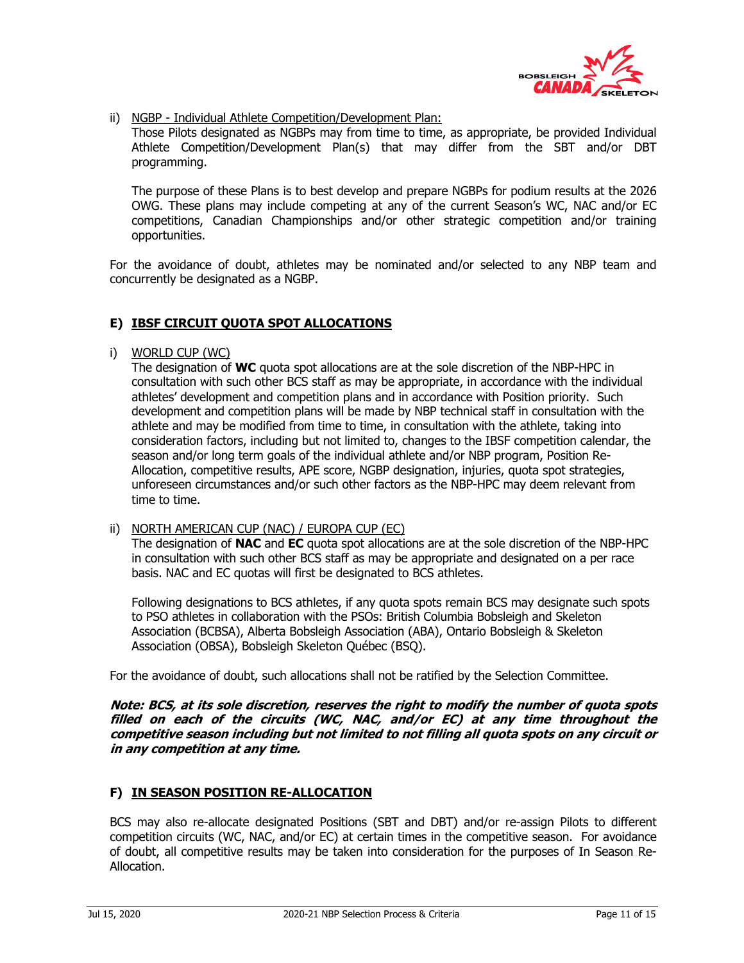

ii) NGBP - Individual Athlete Competition/Development Plan:

Those Pilots designated as NGBPs may from time to time, as appropriate, be provided Individual Athlete Competition/Development Plan(s) that may differ from the SBT and/or DBT programming.

The purpose of these Plans is to best develop and prepare NGBPs for podium results at the 2026 OWG. These plans may include competing at any of the current Season's WC, NAC and/or EC competitions, Canadian Championships and/or other strategic competition and/or training opportunities.

For the avoidance of doubt, athletes may be nominated and/or selected to any NBP team and concurrently be designated as a NGBP.

## **E) IBSF CIRCUIT QUOTA SPOT ALLOCATIONS**

i) WORLD CUP (WC)

The designation of **WC** quota spot allocations are at the sole discretion of the NBP-HPC in consultation with such other BCS staff as may be appropriate, in accordance with the individual athletes' development and competition plans and in accordance with Position priority. Such development and competition plans will be made by NBP technical staff in consultation with the athlete and may be modified from time to time, in consultation with the athlete, taking into consideration factors, including but not limited to, changes to the IBSF competition calendar, the season and/or long term goals of the individual athlete and/or NBP program, Position Re-Allocation, competitive results, APE score, NGBP designation, injuries, quota spot strategies, unforeseen circumstances and/or such other factors as the NBP-HPC may deem relevant from time to time.

ii) NORTH AMERICAN CUP (NAC) / EUROPA CUP (EC)

The designation of **NAC** and **EC** quota spot allocations are at the sole discretion of the NBP-HPC in consultation with such other BCS staff as may be appropriate and designated on a per race basis. NAC and EC quotas will first be designated to BCS athletes.

Following designations to BCS athletes, if any quota spots remain BCS may designate such spots to PSO athletes in collaboration with the PSOs: British Columbia Bobsleigh and Skeleton Association (BCBSA), Alberta Bobsleigh Association (ABA), Ontario Bobsleigh & Skeleton Association (OBSA), Bobsleigh Skeleton Québec (BSQ).

For the avoidance of doubt, such allocations shall not be ratified by the Selection Committee.

**Note: BCS, at its sole discretion, reserves the right to modify the number of quota spots filled on each of the circuits (WC, NAC, and/or EC) at any time throughout the competitive season including but not limited to not filling all quota spots on any circuit or in any competition at any time.** 

## **F) IN SEASON POSITION RE-ALLOCATION**

BCS may also re-allocate designated Positions (SBT and DBT) and/or re-assign Pilots to different competition circuits (WC, NAC, and/or EC) at certain times in the competitive season. For avoidance of doubt, all competitive results may be taken into consideration for the purposes of In Season Re-Allocation.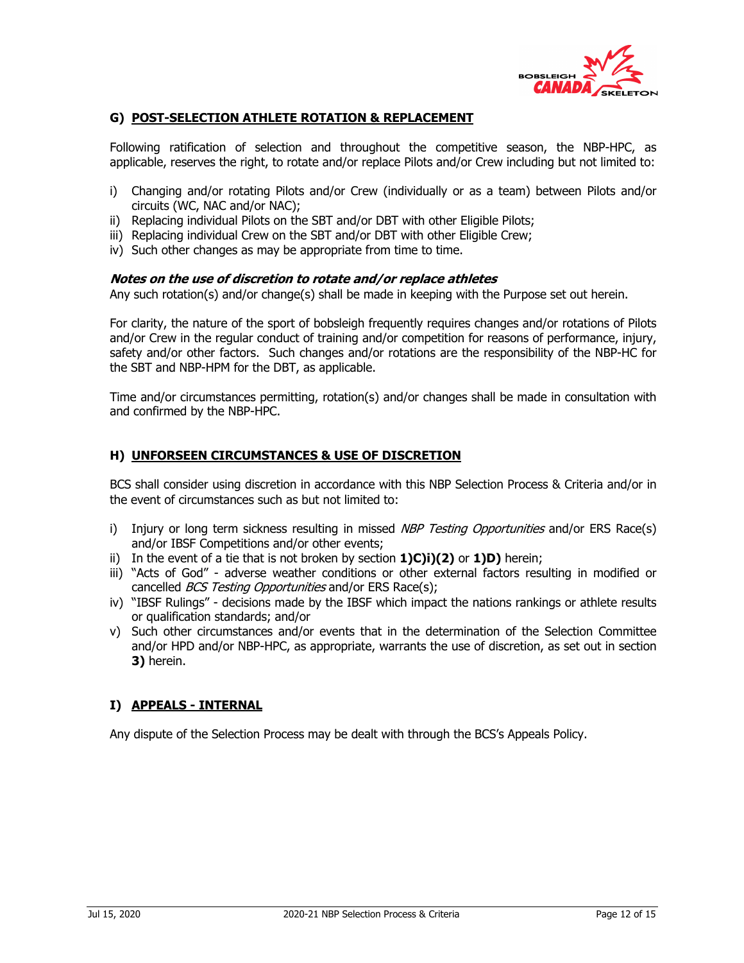

## **G) POST-SELECTION ATHLETE ROTATION & REPLACEMENT**

Following ratification of selection and throughout the competitive season, the NBP-HPC, as applicable, reserves the right, to rotate and/or replace Pilots and/or Crew including but not limited to:

- i) Changing and/or rotating Pilots and/or Crew (individually or as a team) between Pilots and/or circuits (WC, NAC and/or NAC);
- ii) Replacing individual Pilots on the SBT and/or DBT with other Eligible Pilots;
- iii) Replacing individual Crew on the SBT and/or DBT with other Eligible Crew;
- iv) Such other changes as may be appropriate from time to time.

#### **Notes on the use of discretion to rotate and/or replace athletes**

Any such rotation(s) and/or change(s) shall be made in keeping with the Purpose set out herein.

For clarity, the nature of the sport of bobsleigh frequently requires changes and/or rotations of Pilots and/or Crew in the regular conduct of training and/or competition for reasons of performance, injury, safety and/or other factors. Such changes and/or rotations are the responsibility of the NBP-HC for the SBT and NBP-HPM for the DBT, as applicable.

Time and/or circumstances permitting, rotation(s) and/or changes shall be made in consultation with and confirmed by the NBP-HPC.

## **H) UNFORSEEN CIRCUMSTANCES & USE OF DISCRETION**

BCS shall consider using discretion in accordance with this NBP Selection Process & Criteria and/or in the event of circumstances such as but not limited to:

- i) Injury or long term sickness resulting in missed NBP Testing Opportunities and/or ERS Race(s) and/or IBSF Competitions and/or other events;
- ii) In the event of a tie that is not broken by section **1)C)i)(2)** or **1)D)** herein;
- iii) "Acts of God" adverse weather conditions or other external factors resulting in modified or cancelled *BCS Testing Opportunities* and/or ERS Race(s);
- iv) "IBSF Rulings" decisions made by the IBSF which impact the nations rankings or athlete results or qualification standards; and/or
- v) Such other circumstances and/or events that in the determination of the Selection Committee and/or HPD and/or NBP-HPC, as appropriate, warrants the use of discretion, as set out in section **3)** herein.

## **I) APPEALS - INTERNAL**

Any dispute of the Selection Process may be dealt with through the BCS's Appeals Policy.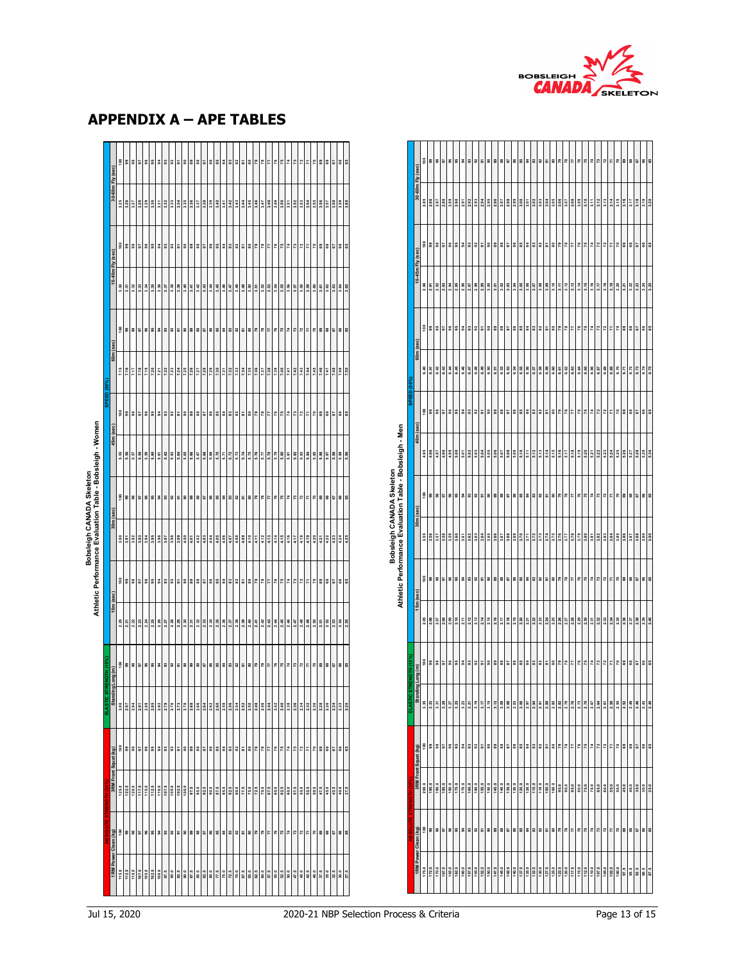

|               |                      | 흷               | $^{\rm 9}$                  | $\mathbf{36}$            | 5                         | $\mathbf{3}$ | $95\,$ | 2       | 3                         | 52    | 5                         | ន     | 89           | 88    | 52                    | 86                 | 85                  | 3                | 3     | 3                     | ="                      | 8                                                                           | £,   | 28              | 77                       | 76    | 75    | 74               | 73                | 72               | z     | ۶O    | 69   | 88          | G <sub>7</sub>          | 8                 | 65   |
|---------------|----------------------|-----------------|-----------------------------|--------------------------|---------------------------|--------------|--------|---------|---------------------------|-------|---------------------------|-------|--------------|-------|-----------------------|--------------------|---------------------|------------------|-------|-----------------------|-------------------------|-----------------------------------------------------------------------------|------|-----------------|--------------------------|-------|-------|------------------|-------------------|------------------|-------|-------|------|-------------|-------------------------|-------------------|------|
|               | 30-60m Fly (sec)     | 2.85            | 2.86                        | 2.87                     | 2.88                      | 2.89         | 2.90   | 2.91    | 2.92                      | 2.93  | 2.94                      | 2.95  | 2.96         | 2.97  | 2.98                  | 2.99               | 3.00                | 5,01             | 3.02  | 3.03                  | 3.04                    | 3.05                                                                        | 3.06 | 3.07            | 3.08                     | 3.09  | 3.10  | 3.11             | 3.12              | 3.13             | 3.14  | 3.15  | 3.16 | 3.17        | 3.18                    | 3.19              | 3.20 |
|               |                      |                 | $\frac{8}{2}$ $\frac{8}{3}$ |                          | 5                         | $\mathbf{3}$ | $95\,$ | 2       | $\overline{3}$            | 3     | 5                         | ន     | 89           | 88    | 57                    | 86                 | 85                  | 3                | 3     | 82                    | 。                       | 8                                                                           | 54   | 78              | 77                       | 76    | 75    | χ                | 73                | 2                | Z     | ۶O    | 89   | 88          | 5                       | $\boldsymbol{66}$ | 65   |
|               | 15-45m Fly (sec)     | 2.90            | 2.91                        | 2.92                     | 2.93                      | 2.94         | 2.95   | 2.96    | 2.97                      | 2.98  | 2.99                      | 3.00  | 3.01         | 3.02  | 3.03                  | 3.04               | 3.05                | 3.06             | 3.07  | 3.08                  | 3.09                    | 3.10                                                                        | 3.11 | 3.12            | 3.13                     | 3.14  | 3.15  | 3.16             | 3.17              | 3.18             | 3.19  | 3.20  | 3.21 | 3.22        | 3.23                    | 3.24              |      |
|               | 60m (sec)            |                 | $\frac{8}{2}$               | $\frac{8}{2}$            | G,                        | 96           | 95     | द्व     | $\overline{9}3$           | 52    | 5                         | g     | 89           | 88    | 57                    | 86                 | 85                  | 2                | 33    | 3                     | 。                       | 80                                                                          | 79   | 78              | 77                       | 76    | 75    | χ                | 73                | 72               | π     | 20    | 69   | 68          | 67                      | 8                 | 65   |
|               |                      | $\frac{640}{5}$ | 6.41                        | 6.42                     | 6.43                      | 34           | 6.45   | 6.46    | 6.47                      | 6.48  | 6.49                      | 6.50  | 6.51         | 6.52  | 6.53                  | 6.54               | 6.55                | 6.56             | 6.57  | 6.58                  | 6.59                    | 6.60                                                                        | 6.61 | 6.62            | 6.63                     | 6.64  | 6.65  | 6.66             | 6.67              | 6.68             | 6.69  | 6.70  | 6.71 | 6.72        | 6.73                    | 6.74              | 6.75 |
| SPEED (50%    | 45m (sec)            | $\frac{8}{10}$  | 99                          | 38                       | 5                         | $\mathbf{3}$ | 95     | S,      | $\mathbf{3}$              | 52    | 5                         | g     | 89           | 88    | 52                    | 86                 | 85                  | 2                | 33    | 3                     | $\overline{\text{a}}$   | ន                                                                           | 79   | 78              | $\overline{\phantom{a}}$ | 76    | 75    | $\boldsymbol{z}$ | 73                | 72               | Z     | 20    | 69   | 8           | 57                      | 66                | 65   |
|               |                      | 4.95            | 4.96                        | $rac{5}{4}$              | 4.98                      | 4.99         | 5.00   | 5.01    | 5.02                      | 5.03  | 5.04                      | 5.05  | $5.06$       | 5.07  | 5.08                  | 5.09               | 5.10                | 5.11             | 5.12  | 5.13                  | 5.14                    | 5.15                                                                        | 5.16 | 5.17            | 5.18                     | 5.19  | 5.20  | 5.21             | 5.22              | 5.23             | 5.24  | 5.25  | 5.26 | 5.27        | 5.28                    | 5.29              | 5.30 |
|               | 30m (sec)            |                 | 588                         |                          | 5                         | 96           | 55     | S,      | $\boldsymbol{\mathsf{s}}$ | 52    | 5                         | g     | 89           | 88    | 57                    | 86                 | 85                  | 2                | 3     | 3                     | 5                       | 8                                                                           | 54   | 78              | 77                       | 76    | 75    | 74               | 73                | 2                | r     | 20    | 69   | 8           | 5                       | 66                | 65   |
|               |                      | 3.55            | 3.56                        | 3.57                     | 3.58                      | 3.59         | 3.60   | 5.61    | 3.62                      | 3.63  | 3.64                      | 3.65  | 3.66         | 3.67  | 3.68                  | 3.69               | 3.70                | 3.71             | 3.72  | 3.73                  | 3.74                    | 3.75                                                                        | 3.76 | 3.77            | 3.78                     | 3.79  | 3.80  | 3.81             | 3.82              | 3.83             | 3.84  | 3.85  | 3.86 | 3.87        | 3.88                    | 3.89              |      |
|               | 15m (sec)            |                 | $\frac{8}{2}$               | $\mathbf{3}$             | 5                         | $\mathbf{3}$ | $95\,$ | 2       | $\mathbf{3}$              | 52    | 5                         | g     | 89           | 88    | 57                    | 86                 | 85                  | 2                | 33    | 3                     | $\overline{\mathbf{a}}$ | ន                                                                           | 79   | 78              | 77                       | 76    | 75    | 74               | 73                | 72               | r     | 20    | 69   | 8           | 57                      | 66                | 65   |
|               |                      | 2.05            | 2.06                        | 2.07                     | 2.08                      | 2.09         | 2.10   | 2.11    | 2.12                      | 2.13  | 2.14                      | 2.15  | 2.16         | 2.17  | 2.18                  | 2.19               |                     | $2.20$<br>$2.21$ | 2.22  | 2.23                  | 2.24                    | 2.25                                                                        | 2.26 | 2.27            | 2.28                     | 2.29  | 2.30  | 2.31             | 2.32              | 2.33             | 2.34  | 2.35  | 2.36 | 2.37        | 2.38                    | 2.39              |      |
|               | Long (m)             | 흷               |                             | 58                       | 5                         | $\mathbf{3}$ | 56     | 2       | S                         | 3     | 5                         | ន     | 89           | 88    | 57                    | 86                 | 85                  | 3                | 83    | 82                    | 。                       | 8                                                                           | 54   | 78              | 77                       | 76    | 75    | χ                | 73                | 72               | π     | 20    | 69   | 8           | 5                       | 66                | 65   |
| <b>ASTICS</b> | Standing             | 3.35            | 3.33                        | 3.31                     | 3.29                      | 3.27         | 3.25   | 3.23    | 3.21                      | 3.19  | 3.17                      | 3.15  | 3.12         | 3.09  | 3.06                  | 3.03               | 3.00                | 2.97             | 2.94  | 2.91                  | 2.88                    | 2.85                                                                        | 2.82 | 2.79            | 2.76                     | 2.73  | 2.70  | 2.67             | 2.64              | 2.61             | 2.58  | 2.55  | 2.52 | 2.49        | 2.46                    | 2.43              | 2.40 |
|               | 3RM Front Squat (kg) | 흷               | 99                          | $\overline{\phantom{a}}$ | 5                         | $\mathbf{3}$ | $95\,$ | 2       | $93$                      | 92    | 5                         | g     | $_{\rm g}$   | 88    | 57                    | $_{\rm 8}^{\rm 6}$ | $_{83}^{\circ}$     | 3                | 83    | 82                    | $\overline{\text{so}}$  | 80                                                                          | 79   | $\rm ^{78}$     | $\overline{r}$           | $76$  | $75$  | 74               | $\boldsymbol{73}$ | 72               | 7     | 20    | 69   | 8           | $\overline{\textbf{G}}$ | 88                |      |
|               |                      | 200.0           |                             | $\frac{190.0}{185.0}$    |                           | 180.0        | 175.0  | 170.0   | 165.0                     | 160.0 | 155.0                     | 150.0 | 145.0        | 140.0 | 135.0                 | 130.0              | 125.0               | 120.0            | 115.0 | 110.0                 | 105.0                   | 100.0                                                                       | 95.0 | 90.0            | 85.0                     | 80.0  | 75.0  | 70.0             | 65.0              | 60.0             | 55.0  | 50.0  | 45.0 | $rac{0}{4}$ | 35.0                    | 30.0              |      |
|               | 1RM Power Clean (kg) | 흷               |                             | 58                       | $\overline{\mathfrak{s}}$ | $\mathbf{S}$ | $95\,$ | $\rm 3$ | $\mathbf{S}$              | 3     | $\overline{\mathfrak{s}}$ | g     | $\mathbf{3}$ | 88    | $\overline{\text{s}}$ | $\mathbf{36}$      | $_{\rm 83}^{\rm s}$ | 2                |       | 32                    | $\overline{\text{so}}$  | 8                                                                           |      | $\frac{27}{17}$ |                          |       | 75    |                  | 74                | $\boldsymbol{r}$ | 7     | P,    | 69   | 8           | 67                      | $\frac{6}{6}$     |      |
|               |                      | 175.0           | 172.5                       | 170.0                    |                           | 165.0        | 162.5  | 160.0   | 157.5                     | 155.0 | 152.5                     | 150.0 | 147.5        | 145.0 | 142.5                 | 140.0              | 137.5               | 135.0            | 132.5 | $\frac{130.0}{127.5}$ |                         | $\begin{array}{r}\n 125.0 \\ \hline\n 122.5 \\ \hline\n 17.5\n \end{array}$ |      |                 |                          | 115.0 | 112.5 | 110.0            | 107.5             | 105.0            | 102.5 | 100.0 | 97.5 | 95.0        | 92.5                    | 90.0<br>87.5      |      |

## **APPENDIX A – APE TABLES**

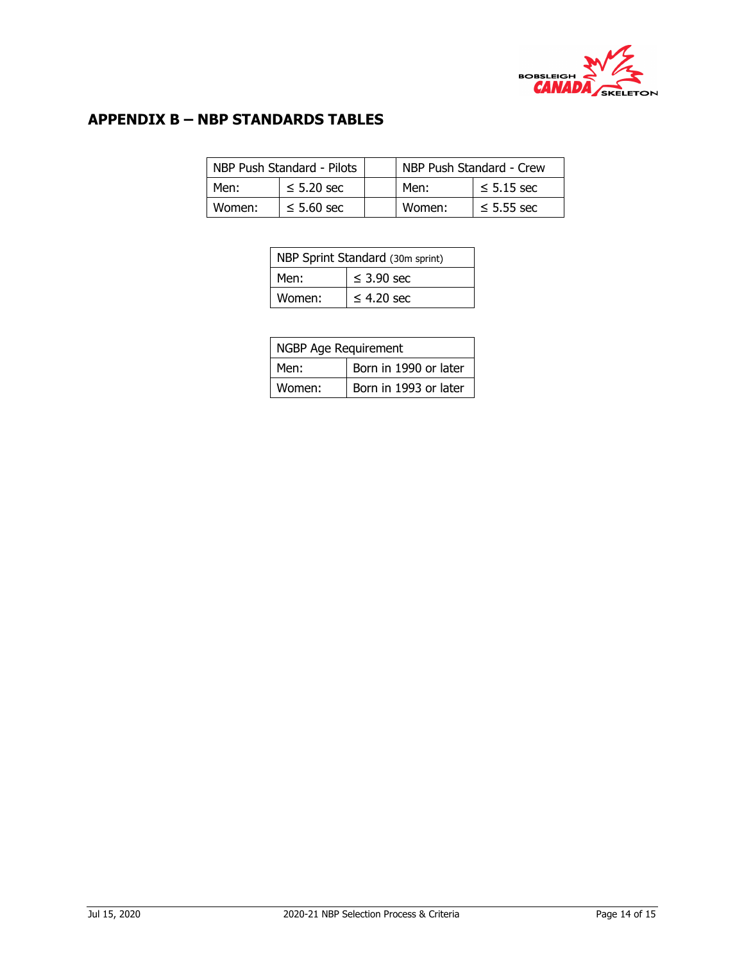

## **APPENDIX B – NBP STANDARDS TABLES**

|        | NBP Push Standard - Pilots | NBP Push Standard - Crew |        |                 |  |  |  |  |
|--------|----------------------------|--------------------------|--------|-----------------|--|--|--|--|
| Men:   | $\leq$ 5.20 sec            |                          | Men:   | $\leq$ 5.15 sec |  |  |  |  |
| Women: | $\leq$ 5.60 sec            |                          | Women: | $\leq$ 5.55 sec |  |  |  |  |

| NBP Sprint Standard (30m sprint) |                 |  |  |  |  |  |
|----------------------------------|-----------------|--|--|--|--|--|
| Men:                             | $\leq$ 3.90 sec |  |  |  |  |  |
| Women:                           | $\leq$ 4.20 sec |  |  |  |  |  |

|        | NGBP Age Requirement  |  |  |  |  |  |  |
|--------|-----------------------|--|--|--|--|--|--|
| Men:   | Born in 1990 or later |  |  |  |  |  |  |
| Women: | Born in 1993 or later |  |  |  |  |  |  |